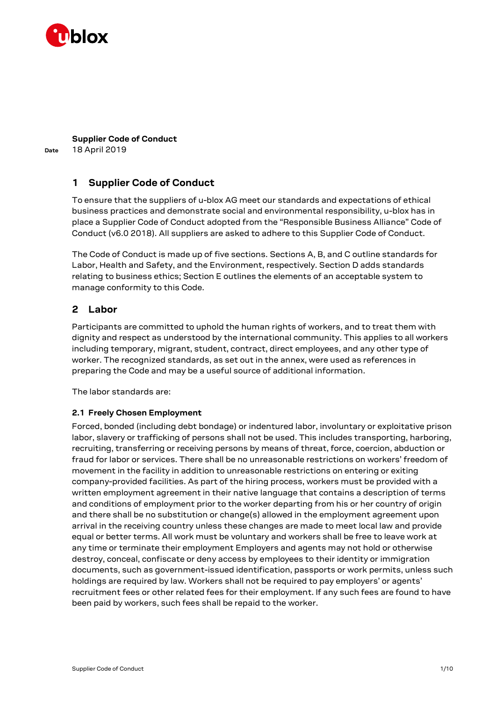

**Date**

**Supplier Code of Conduct** 18 April 2019

# **1 Supplier Code of Conduct**

To ensure that the suppliers of u-blox AG meet our standards and expectations of ethical business practices and demonstrate social and environmental responsibility, u-blox has in place a Supplier Code of Conduct adopted from the "Responsible Business Alliance" Code of Conduct (v6.0 2018). All suppliers are asked to adhere to this Supplier Code of Conduct.

The Code of Conduct is made up of five sections. Sections A, B, and C outline standards for Labor, Health and Safety, and the Environment, respectively. Section D adds standards relating to business ethics; Section E outlines the elements of an acceptable system to manage conformity to this Code.

# **2 Labor**

Participants are committed to uphold the human rights of workers, and to treat them with dignity and respect as understood by the international community. This applies to all workers including temporary, migrant, student, contract, direct employees, and any other type of worker. The recognized standards, as set out in the annex, were used as references in preparing the Code and may be a useful source of additional information.

The labor standards are:

## **2.1 Freely Chosen Employment**

Forced, bonded (including debt bondage) or indentured labor, involuntary or exploitative prison labor, slavery or trafficking of persons shall not be used. This includes transporting, harboring, recruiting, transferring or receiving persons by means of threat, force, coercion, abduction or fraud for labor or services. There shall be no unreasonable restrictions on workers' freedom of movement in the facility in addition to unreasonable restrictions on entering or exiting company-provided facilities. As part of the hiring process, workers must be provided with a written employment agreement in their native language that contains a description of terms and conditions of employment prior to the worker departing from his or her country of origin and there shall be no substitution or change(s) allowed in the employment agreement upon arrival in the receiving country unless these changes are made to meet local law and provide equal or better terms. All work must be voluntary and workers shall be free to leave work at any time or terminate their employment Employers and agents may not hold or otherwise destroy, conceal, confiscate or deny access by employees to their identity or immigration documents, such as government-issued identification, passports or work permits, unless such holdings are required by law. Workers shall not be required to pay employers' or agents' recruitment fees or other related fees for their employment. If any such fees are found to have been paid by workers, such fees shall be repaid to the worker.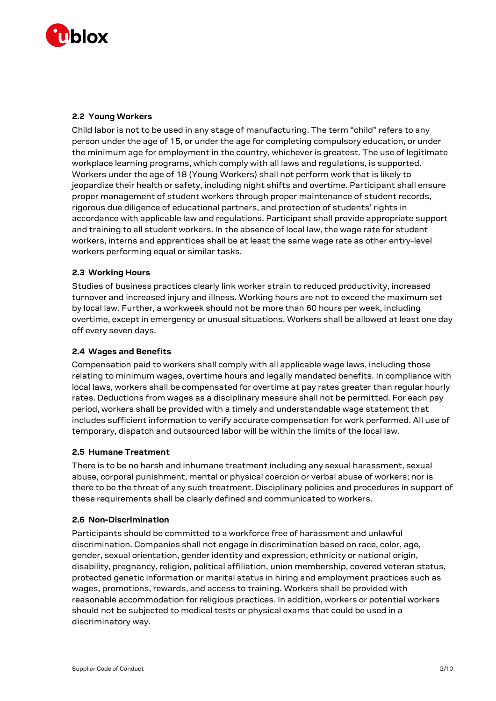

# **2.2 Young Workers**

Child labor is not to be used in any stage of manufacturing. The term "child" refers to any person under the age of 15, or under the age for completing compulsory education, or under the minimum age for employment in the country, whichever is greatest. The use of legitimate workplace learning programs, which comply with all laws and regulations, is supported. Workers under the age of 18 (Young Workers) shall not perform work that is likely to jeopardize their health or safety, including night shifts and overtime. Participant shall ensure proper management of student workers through proper maintenance of student records, rigorous due diligence of educational partners, and protection of students' rights in accordance with applicable law and regulations. Participant shall provide appropriate support and training to all student workers. In the absence of local law, the wage rate for student workers, interns and apprentices shall be at least the same wage rate as other entry-level workers performing equal or similar tasks.

## **2.3 Working Hours**

Studies of business practices clearly link worker strain to reduced productivity, increased turnover and increased injury and illness. Working hours are not to exceed the maximum set by local law. Further, a workweek should not be more than 60 hours per week, including overtime, except in emergency or unusual situations. Workers shall be allowed at least one day off every seven days.

## **2.4 Wages and Benefits**

Compensation paid to workers shall comply with all applicable wage laws, including those relating to minimum wages, overtime hours and legally mandated benefits. In compliance with local laws, workers shall be compensated for overtime at pay rates greater than regular hourly rates. Deductions from wages as a disciplinary measure shall not be permitted. For each pay period, workers shall be provided with a timely and understandable wage statement that includes sufficient information to verify accurate compensation for work performed. All use of temporary, dispatch and outsourced labor will be within the limits of the local law.

## **2.5 Humane Treatment**

There is to be no harsh and inhumane treatment including any sexual harassment, sexual abuse, corporal punishment, mental or physical coercion or verbal abuse of workers; nor is there to be the threat of any such treatment. Disciplinary policies and procedures in support of these requirements shall be clearly defined and communicated to workers.

## **2.6 Non-Discrimination**

Participants should be committed to a workforce free of harassment and unlawful discrimination. Companies shall not engage in discrimination based on race, color, age, gender, sexual orientation, gender identity and expression, ethnicity or national origin, disability, pregnancy, religion, political affiliation, union membership, covered veteran status, protected genetic information or marital status in hiring and employment practices such as wages, promotions, rewards, and access to training. Workers shall be provided with reasonable accommodation for religious practices. In addition, workers or potential workers should not be subjected to medical tests or physical exams that could be used in a discriminatory way.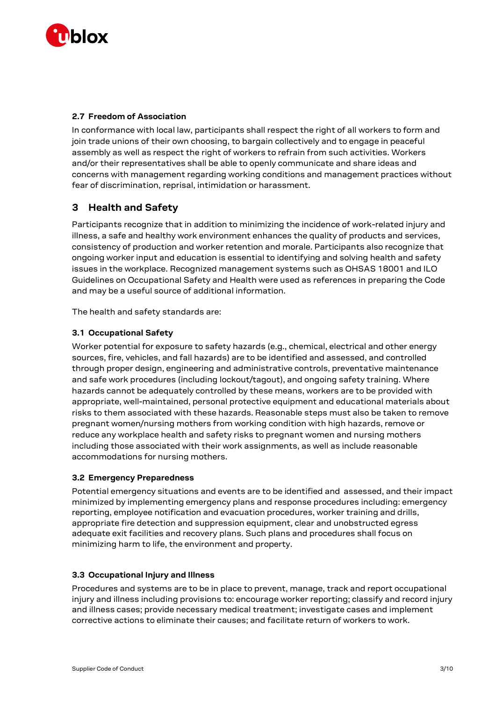

## **2.7 Freedom of Association**

In conformance with local law, participants shall respect the right of all workers to form and join trade unions of their own choosing, to bargain collectively and to engage in peaceful assembly as well as respect the right of workers to refrain from such activities. Workers and/or their representatives shall be able to openly communicate and share ideas and concerns with management regarding working conditions and management practices without fear of discrimination, reprisal, intimidation or harassment.

# **3 Health and Safety**

Participants recognize that in addition to minimizing the incidence of work-related injury and illness, a safe and healthy work environment enhances the quality of products and services, consistency of production and worker retention and morale. Participants also recognize that ongoing worker input and education is essential to identifying and solving health and safety issues in the workplace. Recognized management systems such as OHSAS 18001 and ILO Guidelines on Occupational Safety and Health were used as references in preparing the Code and may be a useful source of additional information.

The health and safety standards are:

# **3.1 Occupational Safety**

Worker potential for exposure to safety hazards (e.g., chemical, electrical and other energy sources, fire, vehicles, and fall hazards) are to be identified and assessed, and controlled through proper design, engineering and administrative controls, preventative maintenance and safe work procedures (including lockout/tagout), and ongoing safety training. Where hazards cannot be adequately controlled by these means, workers are to be provided with appropriate, well-maintained, personal protective equipment and educational materials about risks to them associated with these hazards. Reasonable steps must also be taken to remove pregnant women/nursing mothers from working condition with high hazards, remove or reduce any workplace health and safety risks to pregnant women and nursing mothers including those associated with their work assignments, as well as include reasonable accommodations for nursing mothers.

## **3.2 Emergency Preparedness**

Potential emergency situations and events are to be identified and assessed, and their impact minimized by implementing emergency plans and response procedures including: emergency reporting, employee notification and evacuation procedures, worker training and drills, appropriate fire detection and suppression equipment, clear and unobstructed egress adequate exit facilities and recovery plans. Such plans and procedures shall focus on minimizing harm to life, the environment and property.

## **3.3 Occupational Injury and Illness**

Procedures and systems are to be in place to prevent, manage, track and report occupational injury and illness including provisions to: encourage worker reporting; classify and record injury and illness cases; provide necessary medical treatment; investigate cases and implement corrective actions to eliminate their causes; and facilitate return of workers to work.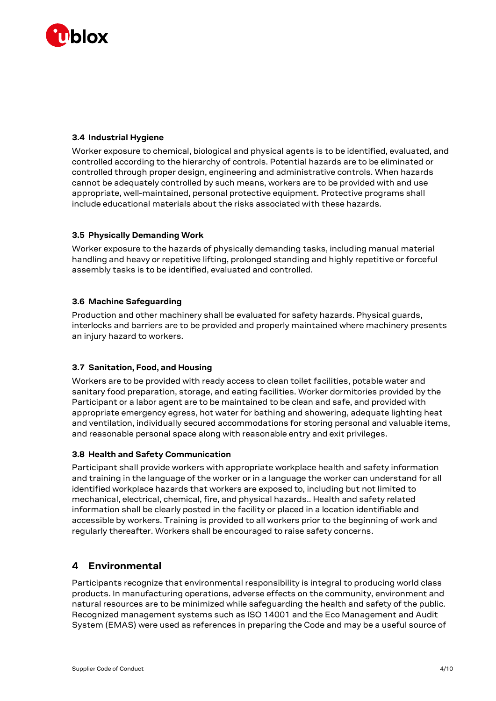

# **3.4 Industrial Hygiene**

Worker exposure to chemical, biological and physical agents is to be identified, evaluated, and controlled according to the hierarchy of controls. Potential hazards are to be eliminated or controlled through proper design, engineering and administrative controls. When hazards cannot be adequately controlled by such means, workers are to be provided with and use appropriate, well-maintained, personal protective equipment. Protective programs shall include educational materials about the risks associated with these hazards.

## **3.5 Physically Demanding Work**

Worker exposure to the hazards of physically demanding tasks, including manual material handling and heavy or repetitive lifting, prolonged standing and highly repetitive or forceful assembly tasks is to be identified, evaluated and controlled.

## **3.6 Machine Safeguarding**

Production and other machinery shall be evaluated for safety hazards. Physical guards, interlocks and barriers are to be provided and properly maintained where machinery presents an injury hazard to workers.

## **3.7 Sanitation, Food, and Housing**

Workers are to be provided with ready access to clean toilet facilities, potable water and sanitary food preparation, storage, and eating facilities. Worker dormitories provided by the Participant or a labor agent are to be maintained to be clean and safe, and provided with appropriate emergency egress, hot water for bathing and showering, adequate lighting heat and ventilation, individually secured accommodations for storing personal and valuable items, and reasonable personal space along with reasonable entry and exit privileges.

## **3.8 Health and Safety Communication**

Participant shall provide workers with appropriate workplace health and safety information and training in the language of the worker or in a language the worker can understand for all identified workplace hazards that workers are exposed to, including but not limited to mechanical, electrical, chemical, fire, and physical hazards.. Health and safety related information shall be clearly posted in the facility or placed in a location identifiable and accessible by workers. Training is provided to all workers prior to the beginning of work and regularly thereafter. Workers shall be encouraged to raise safety concerns.

# **4 Environmental**

Participants recognize that environmental responsibility is integral to producing world class products. In manufacturing operations, adverse effects on the community, environment and natural resources are to be minimized while safeguarding the health and safety of the public. Recognized management systems such as ISO 14001 and the Eco Management and Audit System (EMAS) were used as references in preparing the Code and may be a useful source of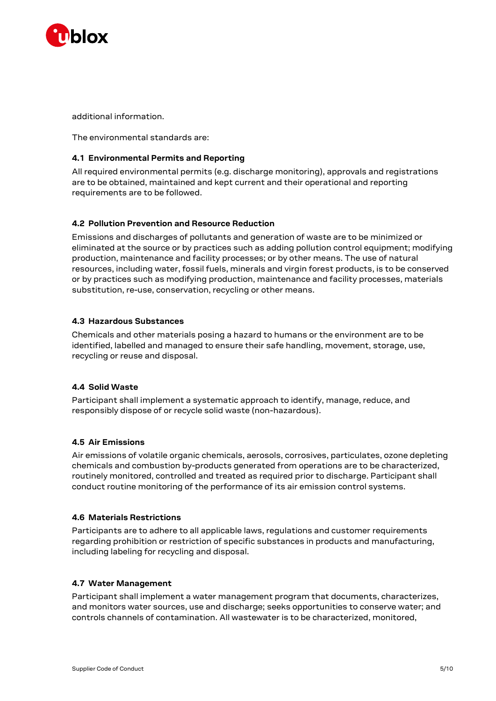

additional information.

The environmental standards are:

## **4.1 Environmental Permits and Reporting**

All required environmental permits (e.g. discharge monitoring), approvals and registrations are to be obtained, maintained and kept current and their operational and reporting requirements are to be followed.

## **4.2 Pollution Prevention and Resource Reduction**

Emissions and discharges of pollutants and generation of waste are to be minimized or eliminated at the source or by practices such as adding pollution control equipment; modifying production, maintenance and facility processes; or by other means. The use of natural resources, including water, fossil fuels, minerals and virgin forest products, is to be conserved or by practices such as modifying production, maintenance and facility processes, materials substitution, re-use, conservation, recycling or other means.

## **4.3 Hazardous Substances**

Chemicals and other materials posing a hazard to humans or the environment are to be identified, labelled and managed to ensure their safe handling, movement, storage, use, recycling or reuse and disposal.

## **4.4 Solid Waste**

Participant shall implement a systematic approach to identify, manage, reduce, and responsibly dispose of or recycle solid waste (non-hazardous).

## **4.5 Air Emissions**

Air emissions of volatile organic chemicals, aerosols, corrosives, particulates, ozone depleting chemicals and combustion by-products generated from operations are to be characterized, routinely monitored, controlled and treated as required prior to discharge. Participant shall conduct routine monitoring of the performance of its air emission control systems.

## **4.6 Materials Restrictions**

Participants are to adhere to all applicable laws, regulations and customer requirements regarding prohibition or restriction of specific substances in products and manufacturing, including labeling for recycling and disposal.

## **4.7 Water Management**

Participant shall implement a water management program that documents, characterizes, and monitors water sources, use and discharge; seeks opportunities to conserve water; and controls channels of contamination. All wastewater is to be characterized, monitored,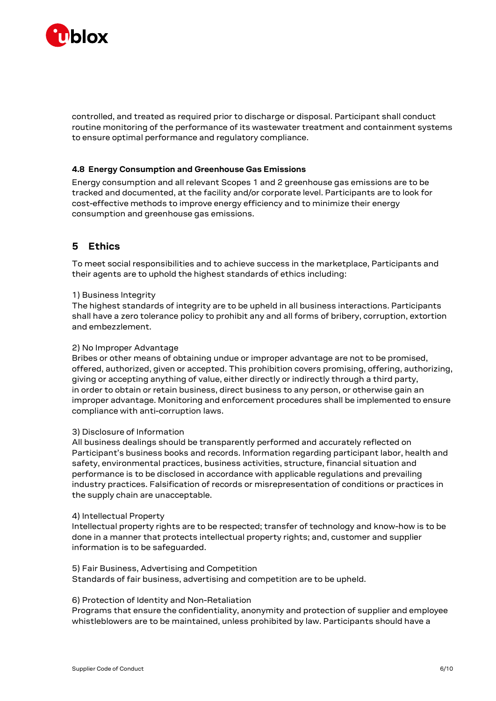

controlled, and treated as required prior to discharge or disposal. Participant shall conduct routine monitoring of the performance of its wastewater treatment and containment systems to ensure optimal performance and regulatory compliance.

## **4.8 Energy Consumption and Greenhouse Gas Emissions**

Energy consumption and all relevant Scopes 1 and 2 greenhouse gas emissions are to be tracked and documented, at the facility and/or corporate level. Participants are to look for cost-effective methods to improve energy efficiency and to minimize their energy consumption and greenhouse gas emissions.

# **5 Ethics**

To meet social responsibilities and to achieve success in the marketplace, Participants and their agents are to uphold the highest standards of ethics including:

#### 1) Business Integrity

The highest standards of integrity are to be upheld in all business interactions. Participants shall have a zero tolerance policy to prohibit any and all forms of bribery, corruption, extortion and embezzlement.

#### 2) No Improper Advantage

Bribes or other means of obtaining undue or improper advantage are not to be promised, offered, authorized, given or accepted. This prohibition covers promising, offering, authorizing, giving or accepting anything of value, either directly or indirectly through a third party, in order to obtain or retain business, direct business to any person, or otherwise gain an improper advantage. Monitoring and enforcement procedures shall be implemented to ensure compliance with anti-corruption laws.

#### 3) Disclosure of Information

All business dealings should be transparently performed and accurately reflected on Participant's business books and records. Information regarding participant labor, health and safety, environmental practices, business activities, structure, financial situation and performance is to be disclosed in accordance with applicable regulations and prevailing industry practices. Falsification of records or misrepresentation of conditions or practices in the supply chain are unacceptable.

#### 4) Intellectual Property

Intellectual property rights are to be respected; transfer of technology and know-how is to be done in a manner that protects intellectual property rights; and, customer and supplier information is to be safeguarded.

### 5) Fair Business, Advertising and Competition

Standards of fair business, advertising and competition are to be upheld.

#### 6) Protection of Identity and Non-Retaliation

Programs that ensure the confidentiality, anonymity and protection of supplier and employee whistleblowers are to be maintained, unless prohibited by law. Participants should have a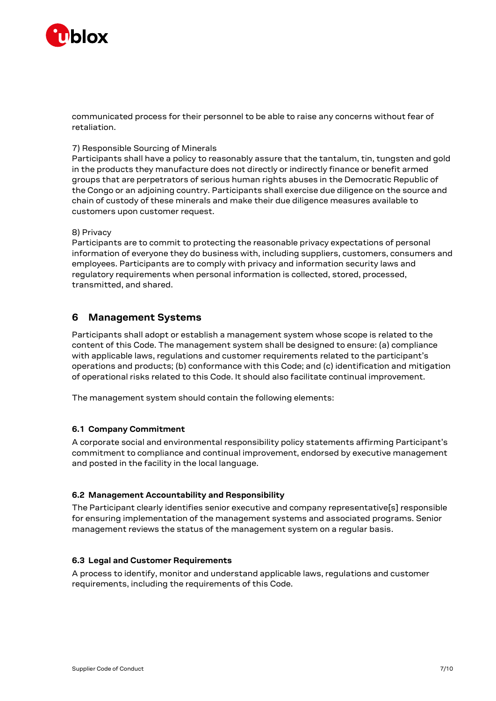

communicated process for their personnel to be able to raise any concerns without fear of retaliation.

### 7) Responsible Sourcing of Minerals

Participants shall have a policy to reasonably assure that the tantalum, tin, tungsten and gold in the products they manufacture does not directly or indirectly finance or benefit armed groups that are perpetrators of serious human rights abuses in the Democratic Republic of the Congo or an adjoining country. Participants shall exercise due diligence on the source and chain of custody of these minerals and make their due diligence measures available to customers upon customer request.

#### 8) Privacy

Participants are to commit to protecting the reasonable privacy expectations of personal information of everyone they do business with, including suppliers, customers, consumers and employees. Participants are to comply with privacy and information security laws and regulatory requirements when personal information is collected, stored, processed, transmitted, and shared.

# **6 Management Systems**

Participants shall adopt or establish a management system whose scope is related to the content of this Code. The management system shall be designed to ensure: (a) compliance with applicable laws, regulations and customer requirements related to the participant's operations and products; (b) conformance with this Code; and (c) identification and mitigation of operational risks related to this Code. It should also facilitate continual improvement.

The management system should contain the following elements:

## **6.1 Company Commitment**

A corporate social and environmental responsibility policy statements affirming Participant's commitment to compliance and continual improvement, endorsed by executive management and posted in the facility in the local language.

#### **6.2 Management Accountability and Responsibility**

The Participant clearly identifies senior executive and company representative[s] responsible for ensuring implementation of the management systems and associated programs. Senior management reviews the status of the management system on a regular basis.

### **6.3 Legal and Customer Requirements**

A process to identify, monitor and understand applicable laws, regulations and customer requirements, including the requirements of this Code.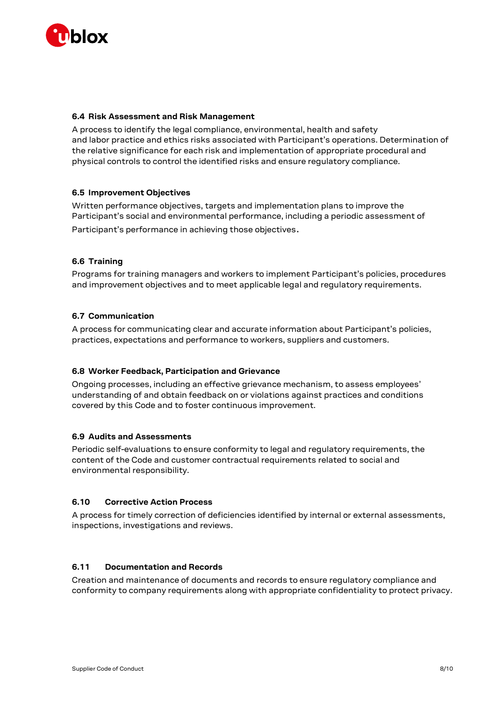

## **6.4 Risk Assessment and Risk Management**

A process to identify the legal compliance, environmental, health and safety and labor practice and ethics risks associated with Participant's operations. Determination of the relative significance for each risk and implementation of appropriate procedural and physical controls to control the identified risks and ensure regulatory compliance.

## **6.5 Improvement Objectives**

Written performance objectives, targets and implementation plans to improve the Participant's social and environmental performance, including a periodic assessment of Participant's performance in achieving those objectives.

## **6.6 Training**

Programs for training managers and workers to implement Participant's policies, procedures and improvement objectives and to meet applicable legal and regulatory requirements.

## **6.7 Communication**

A process for communicating clear and accurate information about Participant's policies, practices, expectations and performance to workers, suppliers and customers.

## **6.8 Worker Feedback, Participation and Grievance**

Ongoing processes, including an effective grievance mechanism, to assess employees' understanding of and obtain feedback on or violations against practices and conditions covered by this Code and to foster continuous improvement.

## **6.9 Audits and Assessments**

Periodic self-evaluations to ensure conformity to legal and regulatory requirements, the content of the Code and customer contractual requirements related to social and environmental responsibility.

## **6.10 Corrective Action Process**

A process for timely correction of deficiencies identified by internal or external assessments, inspections, investigations and reviews.

## **6.11 Documentation and Records**

Creation and maintenance of documents and records to ensure regulatory compliance and conformity to company requirements along with appropriate confidentiality to protect privacy.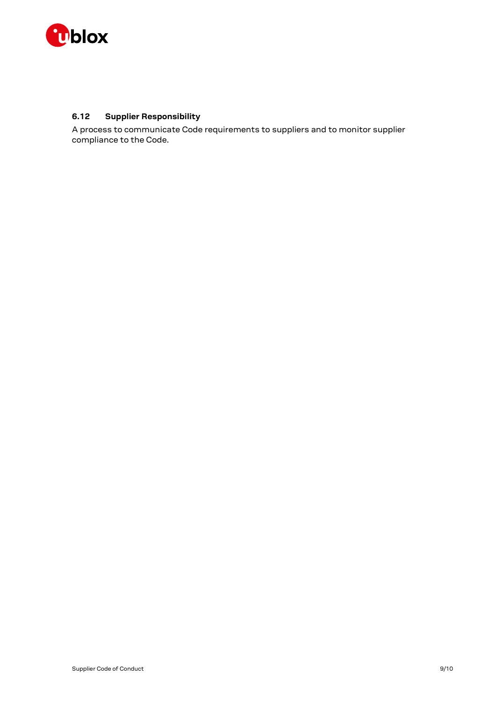

# **6.12 Supplier Responsibility**

A process to communicate Code requirements to suppliers and to monitor supplier compliance to the Code.